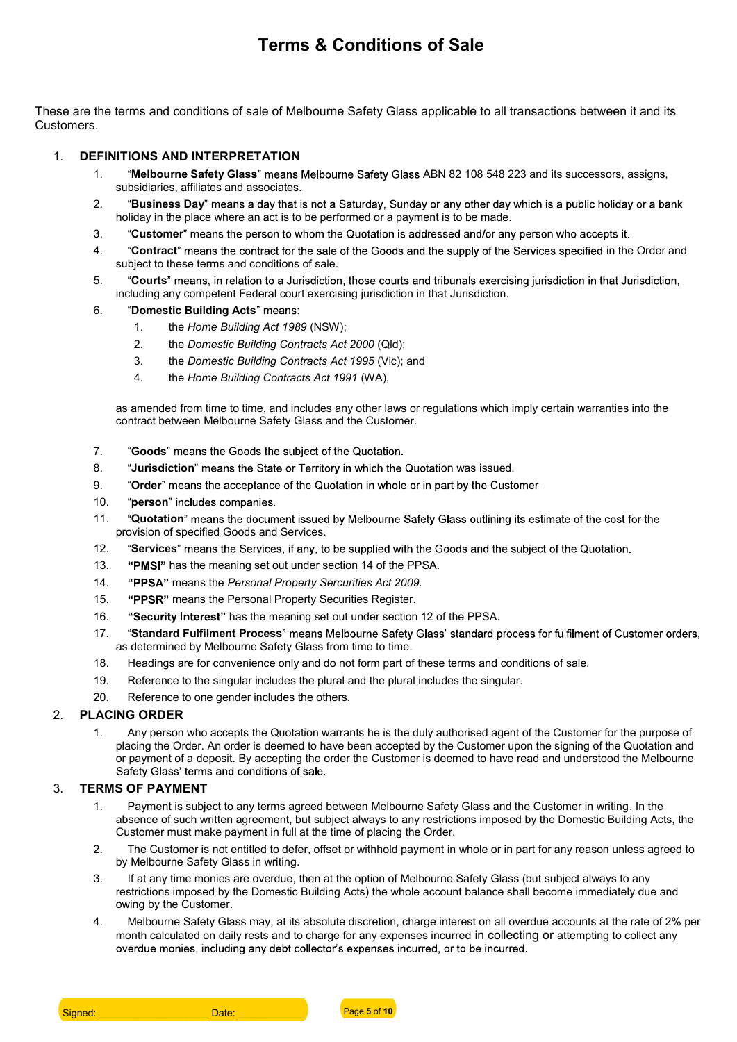# Terms & Conditions of Sale

These are the terms and conditions of sale of Melbourne Safety Glass applicable to all transactions between it and its Customers.

- 1. **DEFINITIONS AND INTERPRETATION**<br>1. **Melbourne Safety Glass**" means Melbourne Safety Glass ABN 82 108 548 223 and its successors, assigns, subsidiaries, affiliates and associates.
	- 2. "Business Day" means a day that is not a Saturday, Sunday or any other day which is a public holiday or a bank holiday in the place where an act is to be performed or a payment is to be made.
	- 3. "Customer" means the person to whom the Quotation is addressed and/or any person who accepts it.
	- 4. "Contract" means the contract for the sale of the Goods and the supply of the Services specified in the Order and subject to these terms and conditions of sale.
	- 5. "Courts" means, in relation to a Jurisdiction, those courts and tribunals exercising jurisdiction in that Jurisdiction, including any competent Federal court exercising jurisdiction in that Jurisdiction.
	- 6. "Domestic Building Acts" means:
		- 1. the Home Building Act 1989 (NSW);
		- 2. the Domestic Building Contracts Act 2000 (Qld);
		- 3. the Domestic Building Contracts Act 1995 (Vic); and
		- 4. the Home Building Contracts Act 1991 (WA),

as amended from time to time, and includes any other laws or regulations which imply certain warranties into the contract between Melbourne Safety Glass and the Customer.

- 7. "Goods" means the Goods the subject of the Quotation.
- 8. **Jurisdiction**" means the State or Territory in which the Quotation was issued.
- 9. "Order" means the acceptance of the Quotation in whole or in part by the Customer.
- 10. "person" includes companies.
- 11. "Quotation" means the document issued by Melbourne Safety Glass outlining its estimate of the cost for the provision of specified Goods and Services.
- 12. "Services" means the Services, if any, to be supplied with the Goods and the subject of the Quotation.
- 13. "PMSI" has the meaning set out under section 14 of the PPSA.
- 14. "PPSA" means the Personal Property Sercurities Act 2009.
- 15. "PPSR" means the Personal Property Securities Register.
- 16. "Security Interest" has the meaning set out under section 12 of the PPSA.
- 17. "Standard Fulfilment Process" means Melbourne Safety Glass' standard process for fulfilment of Customer orders, as determined by Melbourne Safety Glass from time to time.
- 18. Headings are for convenience only and do not form part of these terms and conditions of sale.
- 19. Reference to the singular includes the plural and the plural includes the singular.
- 20. Reference to one gender includes the others.

2. PLACING ORDER<br>1. Any person who accepts the Quotation warrants he is the duly authorised agent of the Customer for the purpose of placing the Order. An order is deemed to have been accepted by the Customer upon the signing of the Quotation and or payment of a deposit. By accepting the order the Customer is deemed to have read and understood the Melbourne Safety Glass' terms and conditions of sale.

- 3. TERMS OF PAYMENT<br>1. Payment is subject to any terms agreed between Melbourne Safety Glass and the Customer in writing. In the absence of such written agreement, but subject always to any restrictions imposed by the Domestic Building Acts, the Customer must make payment in full at the time of placing the Order.
	- 2. The Customer is not entitled to defer, offset or withhold payment in whole or in part for any reason unless agreed to by Melbourne Safety Glass in writing.
	- 3. If at any time monies are overdue, then at the option of Melbourne Safety Glass (but subject always to any restrictions imposed by the Domestic Building Acts) the whole account balance shall become immediately due and owing by the Customer.
	- 4. Melbourne Safety Glass may, at its absolute discretion, charge interest on all overdue accounts at the rate of 2% per month calculated on daily rests and to charge for any expenses incurred in collecting or attempting to collect any overdue monies, including any debt collector's expenses incurred, or to be incurred.

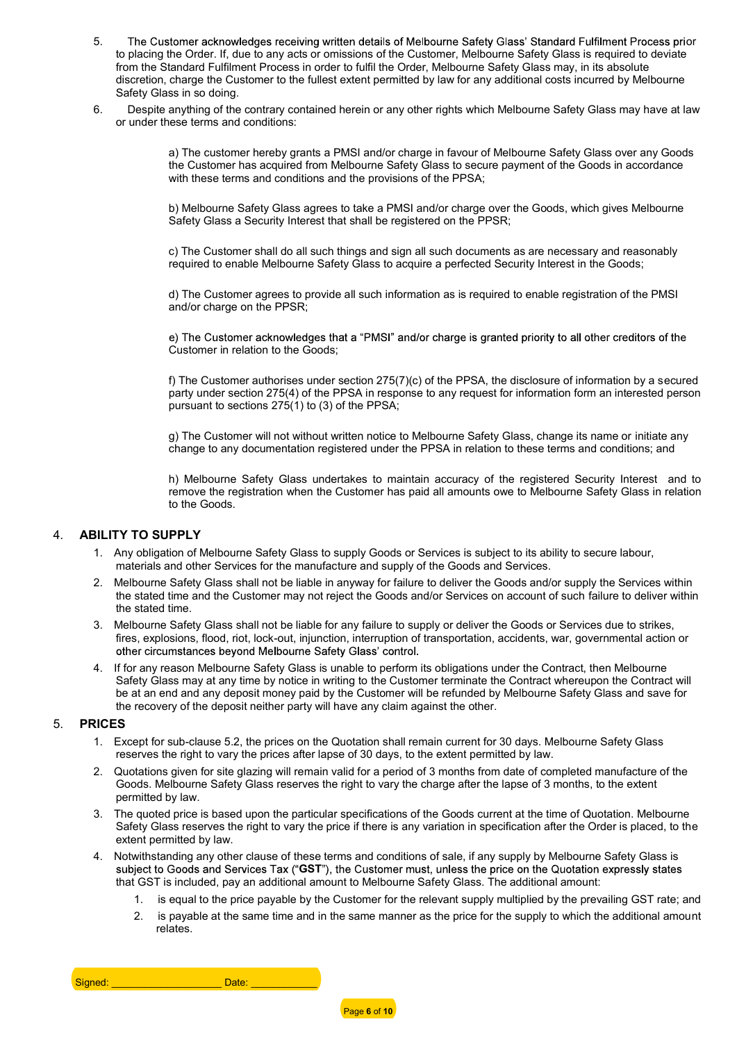- 5. The Customer acknowledges receiving written details of Melbourne Safety Glass' Standard Fulfilment Process prior to placing the Order. If, due to any acts or omissions of the Customer, Melbourne Safety Glass is required to deviate from the Standard Fulfilment Process in order to fulfil the Order, Melbourne Safety Glass may, in its absolute discretion, charge the Customer to the fullest extent permitted by law for any additional costs incurred by Melbourne Safety Glass in so doing.
- 6. Despite anything of the contrary contained herein or any other rights which Melbourne Safety Glass may have at law or under these terms and conditions:

a) The customer hereby grants a PMSI and/or charge in favour of Melbourne Safety Glass over any Goods the Customer has acquired from Melbourne Safety Glass to secure payment of the Goods in accordance with these terms and conditions and the provisions of the PPSA;

b) Melbourne Safety Glass agrees to take a PMSI and/or charge over the Goods, which gives Melbourne Safety Glass a Security Interest that shall be registered on the PPSR;

c) The Customer shall do all such things and sign all such documents as are necessary and reasonably required to enable Melbourne Safety Glass to acquire a perfected Security Interest in the Goods;

d) The Customer agrees to provide all such information as is required to enable registration of the PMSI and/or charge on the PPSR;

e) The Customer acknowledges that a "PMSI" and/or charge is granted priority to all other creditors of the Customer in relation to the Goods;

f) The Customer authorises under section 275(7)(c) of the PPSA, the disclosure of information by a secured party under section 275(4) of the PPSA in response to any request for information form an interested person pursuant to sections 275(1) to (3) of the PPSA;

g) The Customer will not without written notice to Melbourne Safety Glass, change its name or initiate any change to any documentation registered under the PPSA in relation to these terms and conditions; and

h) Melbourne Safety Glass undertakes to maintain accuracy of the registered Security Interest and to remove the registration when the Customer has paid all amounts owe to Melbourne Safety Glass in relation to the Goods.

- 4. **ABILITY TO SUPPLY**<br>1. Any obligation of Melbourne Safety Glass to supply Goods or Services is subject to its ability to secure labour, materials and other Services for the manufacture and supply of the Goods and Services.
	- 2. Melbourne Safety Glass shall not be liable in anyway for failure to deliver the Goods and/or supply the Services within the stated time and the Customer may not reject the Goods and/or Services on account of such failure to deliver within the stated time.
	- 3. Melbourne Safety Glass shall not be liable for any failure to supply or deliver the Goods or Services due to strikes, fires, explosions, flood, riot, lock-out, injunction, interruption of transportation, accidents, war, governmental action or other circumstances beyond Melbourne Safety Glass' control.
	- 4. If for any reason Melbourne Safety Glass is unable to perform its obligations under the Contract, then Melbourne Safety Glass may at any time by notice in writing to the Customer terminate the Contract whereupon the Contract will be at an end and any deposit money paid by the Customer will be refunded by Melbourne Safety Glass and save for the recovery of the deposit neither party will have any claim against the other.

- 5. PRICES<br>1. Except for sub-clause 5.2, the prices on the Quotation shall remain current for 30 days. Melbourne Safety Glass reserves the right to vary the prices after lapse of 30 days, to the extent permitted by law.
	- 2. Quotations given for site glazing will remain valid for a period of 3 months from date of completed manufacture of the Goods. Melbourne Safety Glass reserves the right to vary the charge after the lapse of 3 months, to the extent permitted by law.
	- 3. The quoted price is based upon the particular specifications of the Goods current at the time of Quotation. Melbourne Safety Glass reserves the right to vary the price if there is any variation in specification after the Order is placed, to the extent permitted by law.
	- 4. Notwithstanding any other clause of these terms and conditions of sale, if any supply by Melbourne Safety Glass is subject to Goods and Services Tax ("GST"), the Customer must, unless the price on the Quotation expressly states that GST is included, pay an additional amount to Melbourne Safety Glass. The additional amount:
		- 1. is equal to the price payable by the Customer for the relevant supply multiplied by the prevailing GST rate; and
		- 2. is payable at the same time and in the same manner as the price for the supply to which the additional amount relates.

Signed: \_\_\_\_\_\_\_\_\_\_\_\_\_\_\_\_\_\_\_\_\_\_\_\_\_\_\_\_\_Date:

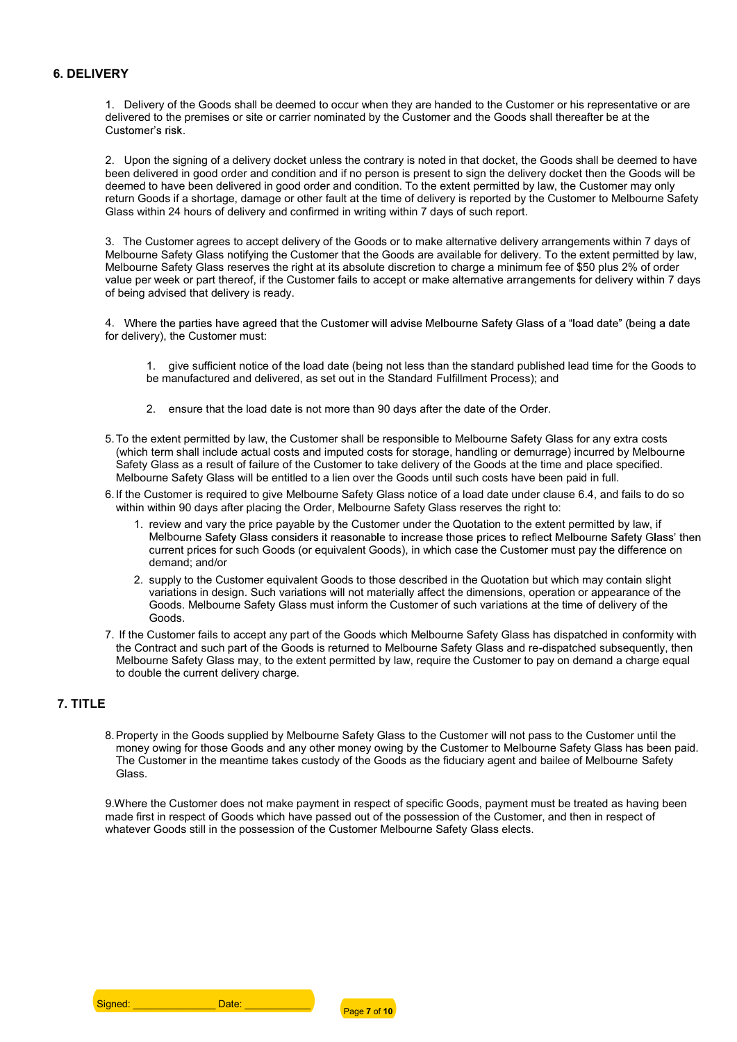6. DELIVERY<br>1. Delivery of the Goods shall be deemed to occur when they are handed to the Customer or his representative or are delivered to the premises or site or carrier nominated by the Customer and the Goods shall thereafter be at the Customer's risk

2. Upon the signing of a delivery docket unless the contrary is noted in that docket, the Goods shall be deemed to have been delivered in good order and condition and if no person is present to sign the delivery docket then the Goods will be deemed to have been delivered in good order and condition. To the extent permitted by law, the Customer may only return Goods if a shortage, damage or other fault at the time of delivery is reported by the Customer to Melbourne Safety Glass within 24 hours of delivery and confirmed in writing within 7 days of such report.

3. The Customer agrees to accept delivery of the Goods or to make alternative delivery arrangements within 7 days of Melbourne Safety Glass notifying the Customer that the Goods are available for delivery. To the extent permitted by law, Melbourne Safety Glass reserves the right at its absolute discretion to charge a minimum fee of \$50 plus 2% of order value per week or part thereof, if the Customer fails to accept or make alternative arrangements for delivery within 7 days of being advised that delivery is ready.

4. Where the parties have agreed that the Customer will advise Melbourne Safety Glass of a "load date" (being a date for delivery), the Customer must:

1. give sufficient notice of the load date (being not less than the standard published lead time for the Goods to be manufactured and delivered, as set out in the Standard Fulfillment Process); and

- 2. ensure that the load date is not more than 90 days after the date of the Order.
- 5. To the extent permitted by law, the Customer shall be responsible to Melbourne Safety Glass for any extra costs (which term shall include actual costs and imputed costs for storage, handling or demurrage) incurred by Melbourne Safety Glass as a result of failure of the Customer to take delivery of the Goods at the time and place specified. Melbourne Safety Glass will be entitled to a lien over the Goods until such costs have been paid in full.
- 6. If the Customer is required to give Melbourne Safety Glass notice of a load date under clause 6.4, and fails to do so within within 90 days after placing the Order, Melbourne Safety Glass reserves the right to:
	- 1. review and vary the price payable by the Customer under the Quotation to the extent permitted by law, if Melbourne Safety Glass considers it reasonable to increase those prices to reflect Melbourne Safety Glass' then current prices for such Goods (or equivalent Goods), in which case the Customer must pay the difference on demand; and/or
	- 2. supply to the Customer equivalent Goods to those described in the Quotation but which may contain slight variations in design. Such variations will not materially affect the dimensions, operation or appearance of the Goods. Melbourne Safety Glass must inform the Customer of such variations at the time of delivery of the Goods.
- 7. If the Customer fails to accept any part of the Goods which Melbourne Safety Glass has dispatched in conformity with the Contract and such part of the Goods is returned to Melbourne Safety Glass and re-dispatched subsequently, then Melbourne Safety Glass may, to the extent permitted by law, require the Customer to pay on demand a charge equal to double the current delivery charge.

7. TITLE<br>8. Property in the Goods supplied by Melbourne Safety Glass to the Customer will not pass to the Customer until the money owing for those Goods and any other money owing by the Customer to Melbourne Safety Glass has been paid. The Customer in the meantime takes custody of the Goods as the fiduciary agent and bailee of Melbourne Safety Glass.

9.Where the Customer does not make payment in respect of specific Goods, payment must be treated as having been made first in respect of Goods which have passed out of the possession of the Customer, and then in respect of whatever Goods still in the possession of the Customer Melbourne Safety Glass elects.

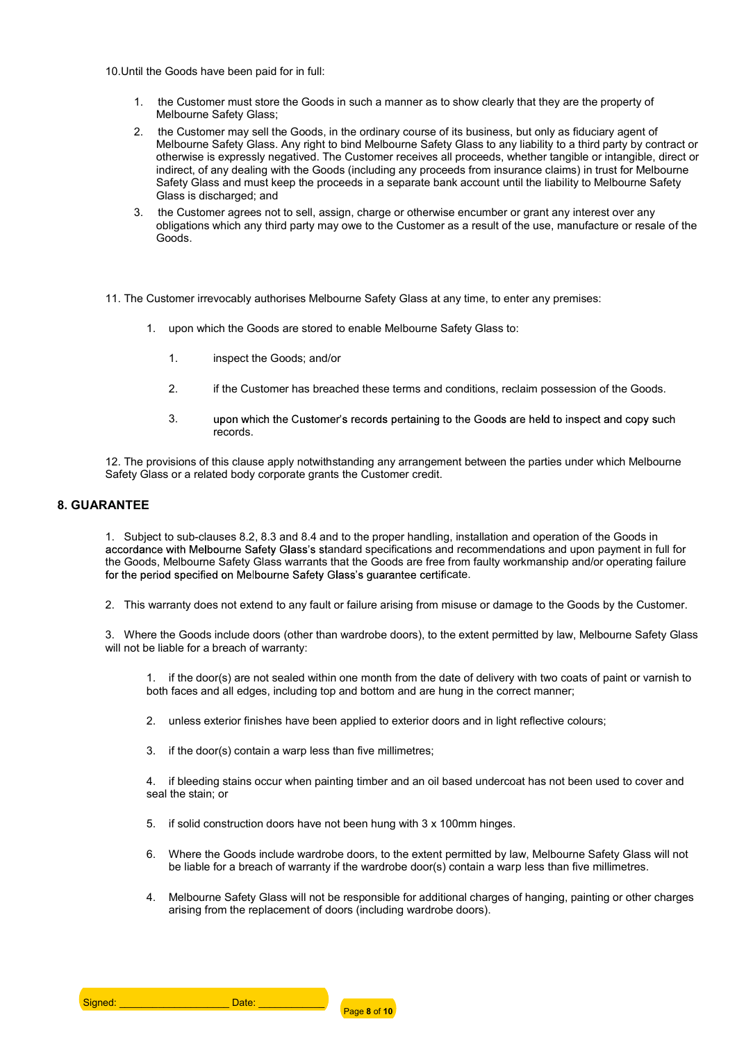10.Until the Goods have been paid for in full:

- 1. the Customer must store the Goods in such a manner as to show clearly that they are the property of Melbourne Safety Glass;
- 2. the Customer may sell the Goods, in the ordinary course of its business, but only as fiduciary agent of Melbourne Safety Glass. Any right to bind Melbourne Safety Glass to any liability to a third party by contract or otherwise is expressly negatived. The Customer receives all proceeds, whether tangible or intangible, direct or indirect, of any dealing with the Goods (including any proceeds from insurance claims) in trust for Melbourne Safety Glass and must keep the proceeds in a separate bank account until the liability to Melbourne Safety Glass is discharged; and
- 3. the Customer agrees not to sell, assign, charge or otherwise encumber or grant any interest over any obligations which any third party may owe to the Customer as a result of the use, manufacture or resale of the Goods.
- 11. The Customer irrevocably authorises Melbourne Safety Glass at any time, to enter any premises:
	- 1. upon which the Goods are stored to enable Melbourne Safety Glass to:
		- 1. inspect the Goods; and/or
		- 2. if the Customer has breached these terms and conditions, reclaim possession of the Goods.
		- 3. upon which the Customer's records pertaining to the Goods are held to inspect and copy such records.

12. The provisions of this clause apply notwithstanding any arrangement between the parties under which Melbourne Safety Glass or a related body corporate grants the Customer credit.

8. GUARANTEE<br>1. Subject to sub-clauses 8.2, 8.3 and 8.4 and to the proper handling, installation and operation of the Goods in accordance with Melbourne Safety Glass's standard specifications and recommendations and upon payment in full for the Goods, Melbourne Safety Glass warrants that the Goods are free from faulty workmanship and/or operating failure for the period specified on Melbourne Safety Glass's guarantee certificate.

2. This warranty does not extend to any fault or failure arising from misuse or damage to the Goods by the Customer.

3. Where the Goods include doors (other than wardrobe doors), to the extent permitted by law, Melbourne Safety Glass will not be liable for a breach of warranty:

1. if the door(s) are not sealed within one month from the date of delivery with two coats of paint or varnish to both faces and all edges, including top and bottom and are hung in the correct manner;

- 2. unless exterior finishes have been applied to exterior doors and in light reflective colours;
- 3. if the door(s) contain a warp less than five millimetres;

4. if bleeding stains occur when painting timber and an oil based undercoat has not been used to cover and seal the stain; or

- 5. if solid construction doors have not been hung with 3 x 100mm hinges.
- 6. Where the Goods include wardrobe doors, to the extent permitted by law, Melbourne Safety Glass will not be liable for a breach of warranty if the wardrobe door(s) contain a warp less than five millimetres.
- 4. Melbourne Safety Glass will not be responsible for additional charges of hanging, painting or other charges arising from the replacement of doors (including wardrobe doors).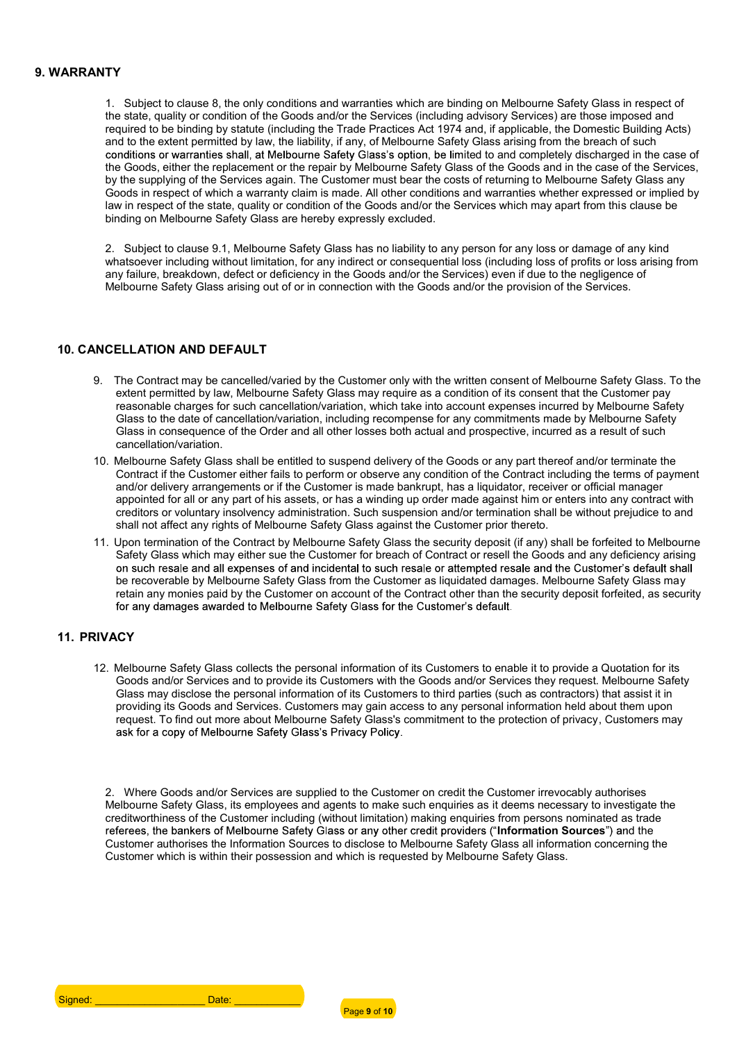9. WARRANTY<br>1. Subject to clause 8, the only conditions and warranties which are binding on Melbourne Safety Glass in respect of the state, quality or condition of the Goods and/or the Services (including advisory Services) are those imposed and required to be binding by statute (including the Trade Practices Act 1974 and, if applicable, the Domestic Building Acts) and to the extent permitted by law, the liability, if any, of Melbourne Safety Glass arising from the breach of such conditions or warranties shall, at Melbourne Safety Glass's option, be limited to and completely discharged in the case of the Goods, either the replacement or the repair by Melbourne Safety Glass of the Goods and in the case of the Services, by the supplying of the Services again. The Customer must bear the costs of returning to Melbourne Safety Glass any Goods in respect of which a warranty claim is made. All other conditions and warranties whether expressed or implied by law in respect of the state, quality or condition of the Goods and/or the Services which may apart from this clause be binding on Melbourne Safety Glass are hereby expressly excluded.

> 2. Subject to clause 9.1, Melbourne Safety Glass has no liability to any person for any loss or damage of any kind whatsoever including without limitation, for any indirect or consequential loss (including loss of profits or loss arising from any failure, breakdown, defect or deficiency in the Goods and/or the Services) even if due to the negligence of Melbourne Safety Glass arising out of or in connection with the Goods and/or the provision of the Services.

- 10. CANCELLATION AND DEFAULT<br>9. The Contract may be cancelled/varied by the Customer only with the written consent of Melbourne Safety Glass. To the extent permitted by law, Melbourne Safety Glass may require as a condition of its consent that the Customer pay reasonable charges for such cancellation/variation, which take into account expenses incurred by Melbourne Safety Glass to the date of cancellation/variation, including recompense for any commitments made by Melbourne Safety Glass in consequence of the Order and all other losses both actual and prospective, incurred as a result of such cancellation/variation.
	- 10. Melbourne Safety Glass shall be entitled to suspend delivery of the Goods or any part thereof and/or terminate the Contract if the Customer either fails to perform or observe any condition of the Contract including the terms of payment and/or delivery arrangements or if the Customer is made bankrupt, has a liquidator, receiver or official manager appointed for all or any part of his assets, or has a winding up order made against him or enters into any contract with creditors or voluntary insolvency administration. Such suspension and/or termination shall be without prejudice to and shall not affect any rights of Melbourne Safety Glass against the Customer prior thereto.
	- 11. Upon termination of the Contract by Melbourne Safety Glass the security deposit (if any) shall be forfeited to Melbourne Safety Glass which may either sue the Customer for breach of Contract or resell the Goods and any deficiency arising on such resale and all expenses of and incidental to such resale or attempted resale and the Customer's default shall be recoverable by Melbourne Safety Glass from the Customer as liquidated damages. Melbourne Safety Glass may retain any monies paid by the Customer on account of the Contract other than the security deposit forfeited, as security<br>for any damages awarded to Melbourne Safety Glass for the Customer's default.

11. PRIVACY<br>12. Melbourne Safety Glass collects the personal information of its Customers to enable it to provide a Quotation for its Goods and/or Services and to provide its Customers with the Goods and/or Services they request. Melbourne Safety Glass may disclose the personal information of its Customers to third parties (such as contractors) that assist it in providing its Goods and Services. Customers may gain access to any personal information held about them upon request. To find out more about Melbourne Safety Glass's commitment to the protection of privacy, Customers may ask for a copy of Melbourne Safety Glass's Privacy Policy.

2. Where Goods and/or Services are supplied to the Customer on credit the Customer irrevocably authorises Melbourne Safety Glass, its employees and agents to make such enquiries as it deems necessary to investigate the creditworthiness of the Customer including (without limitation) making enquiries from persons nominated as trade referees, the bankers of Melbourne Safety Glass or any other credit providers ("Information Sources") and the Customer authorises the Information Sources to disclose to Melbourne Safety Glass all information concerning the Customer which is within their possession and which is requested by Melbourne Safety Glass.